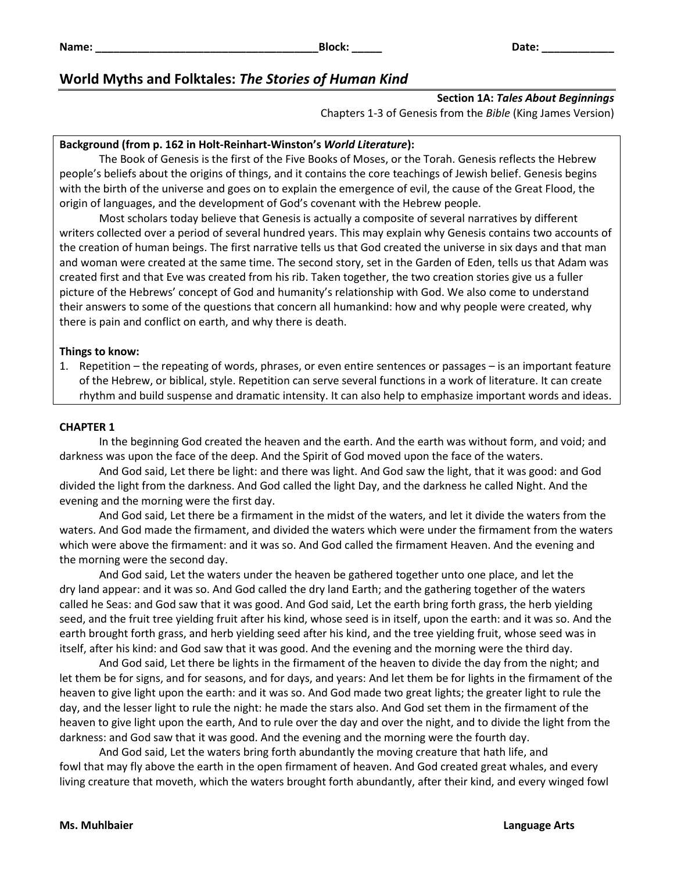# **World Myths and Folktales:** *The Stories of Human Kind*

# **Section 1A:** *Tales About Beginnings*

Chapters 1-3 of Genesis from the *Bible* (King James Version)

## **Background (from p. 162 in Holt-Reinhart-Winston's** *World Literature***):**

The Book of Genesis is the first of the Five Books of Moses, or the Torah. Genesis reflects the Hebrew people's beliefs about the origins of things, and it contains the core teachings of Jewish belief. Genesis begins with the birth of the universe and goes on to explain the emergence of evil, the cause of the Great Flood, the origin of languages, and the development of God's covenant with the Hebrew people.

Most scholars today believe that Genesis is actually a composite of several narratives by different writers collected over a period of several hundred years. This may explain why Genesis contains two accounts of the creation of human beings. The first narrative tells us that God created the universe in six days and that man and woman were created at the same time. The second story, set in the Garden of Eden, tells us that Adam was created first and that Eve was created from his rib. Taken together, the two creation stories give us a fuller picture of the Hebrews' concept of God and humanity's relationship with God. We also come to understand their answers to some of the questions that concern all humankind: how and why people were created, why there is pain and conflict on earth, and why there is death.

#### **Things to know:**

1. Repetition – the repeating of words, phrases, or even entire sentences or passages – is an important feature of the Hebrew, or biblical, style. Repetition can serve several functions in a work of literature. It can create rhythm and build suspense and dramatic intensity. It can also help to emphasize important words and ideas.

### **CHAPTER 1**

In the beginning God created the heaven and the earth. And the earth was without form, and void; and darkness was upon the face of the deep. And the Spirit of God moved upon the face of the waters.

And God said, Let there be light: and there was light. And God saw the light, that it was good: and God divided the light from the darkness. And God called the light Day, and the darkness he called Night. And the evening and the morning were the first day.

And God said, Let there be a firmament in the midst of the waters, and let it divide the waters from the waters. And God made the firmament, and divided the waters which were under the firmament from the waters which were above the firmament: and it was so. And God called the firmament Heaven. And the evening and the morning were the second day.

And God said, Let the waters under the heaven be gathered together unto one place, and let the dry land appear: and it was so. And God called the dry land Earth; and the gathering together of the waters called he Seas: and God saw that it was good. And God said, Let the earth bring forth grass, the herb yielding seed, and the fruit tree yielding fruit after his kind, whose seed is in itself, upon the earth: and it was so. And the earth brought forth grass, and herb yielding seed after his kind, and the tree yielding fruit, whose seed was in itself, after his kind: and God saw that it was good. And the evening and the morning were the third day.

And God said, Let there be lights in the firmament of the heaven to divide the day from the night; and let them be for signs, and for seasons, and for days, and years: And let them be for lights in the firmament of the heaven to give light upon the earth: and it was so. And God made two great lights; the greater light to rule the day, and the lesser light to rule the night: he made the stars also. And God set them in the firmament of the heaven to give light upon the earth, And to rule over the day and over the night, and to divide the light from the darkness: and God saw that it was good. And the evening and the morning were the fourth day.

And God said, Let the waters bring forth abundantly the moving creature that hath life, and fowl that may fly above the earth in the open firmament of heaven. And God created great whales, and every living creature that moveth, which the waters brought forth abundantly, after their kind, and every winged fowl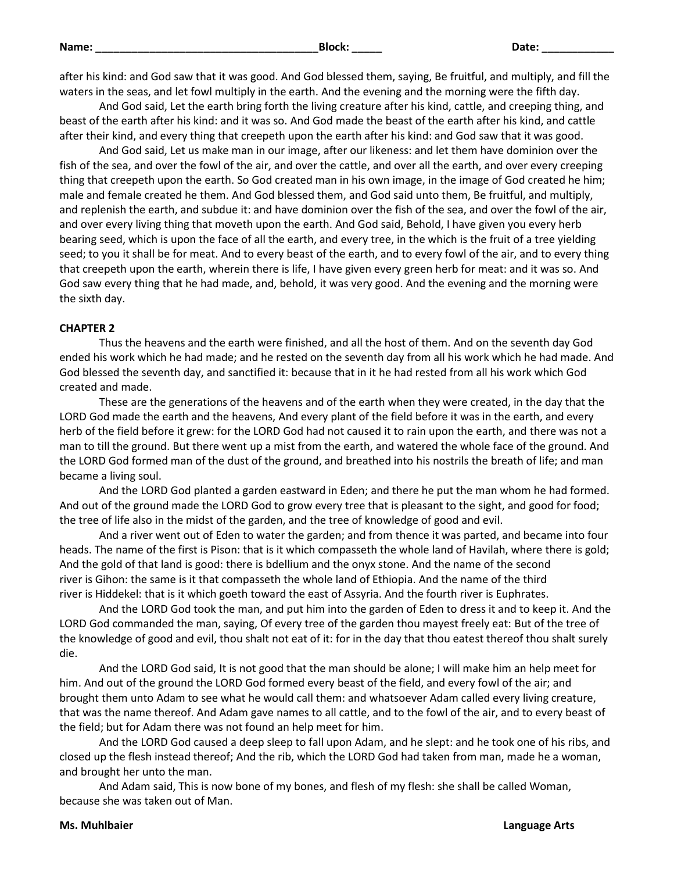| m<br>٠         |  |
|----------------|--|
| ×<br>. .<br>۰, |  |

after his kind: and God saw that it was good. And God blessed them, saying, Be fruitful, and multiply, and fill the waters in the seas, and let fowl multiply in the earth. And the evening and the morning were the fifth day.

And God said, Let the earth bring forth the living creature after his kind, cattle, and creeping thing, and beast of the earth after his kind: and it was so. And God made the beast of the earth after his kind, and cattle after their kind, and every thing that creepeth upon the earth after his kind: and God saw that it was good.

And God said, Let us make man in our image, after our likeness: and let them have dominion over the fish of the sea, and over the fowl of the air, and over the cattle, and over all the earth, and over every creeping thing that creepeth upon the earth. So God created man in his own image, in the image of God created he him; male and female created he them. And God blessed them, and God said unto them, Be fruitful, and multiply, and replenish the earth, and subdue it: and have dominion over the fish of the sea, and over the fowl of the air, and over every living thing that moveth upon the earth. And God said, Behold, I have given you every herb bearing seed, which is upon the face of all the earth, and every tree, in the which is the fruit of a tree yielding seed; to you it shall be for meat. And to every beast of the earth, and to every fowl of the air, and to every thing that creepeth upon the earth, wherein there is life, I have given every green herb for meat: and it was so. And God saw every thing that he had made, and, behold, it was very good. And the evening and the morning were the sixth day.

### **CHAPTER 2**

Thus the heavens and the earth were finished, and all the host of them. And on the seventh day God ended his work which he had made; and he rested on the seventh day from all his work which he had made. And God blessed the seventh day, and sanctified it: because that in it he had rested from all his work which God created and made.

These are the generations of the heavens and of the earth when they were created, in the day that the LORD God made the earth and the heavens, And every plant of the field before it was in the earth, and every herb of the field before it grew: for the LORD God had not caused it to rain upon the earth, and there was not a man to till the ground. But there went up a mist from the earth, and watered the whole face of the ground. And the LORD God formed man of the dust of the ground, and breathed into his nostrils the breath of life; and man became a living soul.

And the LORD God planted a garden eastward in Eden; and there he put the man whom he had formed. And out of the ground made the LORD God to grow every tree that is pleasant to the sight, and good for food; the tree of life also in the midst of the garden, and the tree of knowledge of good and evil.

And a river went out of Eden to water the garden; and from thence it was parted, and became into four heads. The name of the first is Pison: that is it which compasseth the whole land of Havilah, where there is gold; And the gold of that land is good: there is bdellium and the onyx stone. And the name of the second river is Gihon: the same is it that compasseth the whole land of Ethiopia. And the name of the third river is Hiddekel: that is it which goeth toward the east of Assyria. And the fourth river is Euphrates.

And the LORD God took the man, and put him into the garden of Eden to dress it and to keep it. And the LORD God commanded the man, saying, Of every tree of the garden thou mayest freely eat: But of the tree of the knowledge of good and evil, thou shalt not eat of it: for in the day that thou eatest thereof thou shalt surely die.

And the LORD God said, It is not good that the man should be alone; I will make him an help meet for him. And out of the ground the LORD God formed every beast of the field, and every fowl of the air; and brought them unto Adam to see what he would call them: and whatsoever Adam called every living creature, that was the name thereof. And Adam gave names to all cattle, and to the fowl of the air, and to every beast of the field; but for Adam there was not found an help meet for him.

And the LORD God caused a deep sleep to fall upon Adam, and he slept: and he took one of his ribs, and closed up the flesh instead thereof; And the rib, which the LORD God had taken from man, made he a woman, and brought her unto the man.

And Adam said, This is now bone of my bones, and flesh of my flesh: she shall be called Woman, because she was taken out of Man.